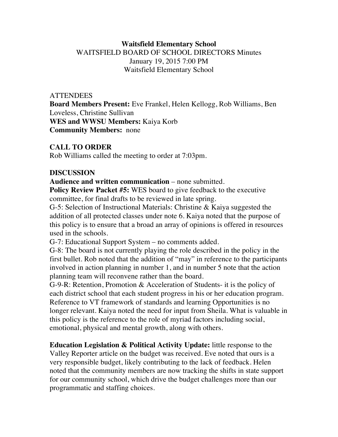## **Waitsfield Elementary School** WAITSFIELD BOARD OF SCHOOL DIRECTORS Minutes January 19, 2015 7:00 PM Waitsfield Elementary School

#### **ATTENDEES**

**Board Members Present:** Eve Frankel, Helen Kellogg, Rob Williams, Ben Loveless, Christine Sullivan **WES and WWSU Members:** Kaiya Korb **Community Members:** none

## **CALL TO ORDER**

Rob Williams called the meeting to order at 7:03pm.

#### **DISCUSSION**

**Audience and written communication** – none submitted.

**Policy Review Packet #5:** WES board to give feedback to the executive committee, for final drafts to be reviewed in late spring.

G-5: Selection of Instructional Materials: Christine & Kaiya suggested the addition of all protected classes under note 6. Kaiya noted that the purpose of this policy is to ensure that a broad an array of opinions is offered in resources used in the schools.

G-7: Educational Support System – no comments added.

G-8: The board is not currently playing the role described in the policy in the first bullet. Rob noted that the addition of "may" in reference to the participants involved in action planning in number 1, and in number 5 note that the action planning team will reconvene rather than the board.

G-9-R: Retention, Promotion & Acceleration of Students- it is the policy of each district school that each student progress in his or her education program. Reference to VT framework of standards and learning Opportunities is no longer relevant. Kaiya noted the need for input from Sheila. What is valuable in this policy is the reference to the role of myriad factors including social, emotional, physical and mental growth, along with others.

**Education Legislation & Political Activity Update:** little response to the Valley Reporter article on the budget was received. Eve noted that ours is a very responsible budget, likely contributing to the lack of feedback. Helen noted that the community members are now tracking the shifts in state support for our community school, which drive the budget challenges more than our programmatic and staffing choices.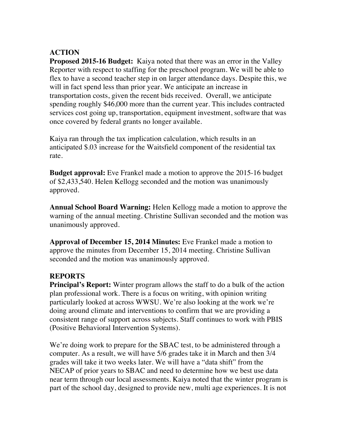# **ACTION**

**Proposed 2015-16 Budget:** Kaiya noted that there was an error in the Valley Reporter with respect to staffing for the preschool program. We will be able to flex to have a second teacher step in on larger attendance days. Despite this, we will in fact spend less than prior year. We anticipate an increase in transportation costs, given the recent bids received. Overall, we anticipate spending roughly \$46,000 more than the current year. This includes contracted services cost going up, transportation, equipment investment, software that was once covered by federal grants no longer available.

Kaiya ran through the tax implication calculation, which results in an anticipated \$.03 increase for the Waitsfield component of the residential tax rate.

**Budget approval:** Eve Frankel made a motion to approve the 2015-16 budget of \$2,433,540. Helen Kellogg seconded and the motion was unanimously approved.

**Annual School Board Warning:** Helen Kellogg made a motion to approve the warning of the annual meeting. Christine Sullivan seconded and the motion was unanimously approved.

**Approval of December 15, 2014 Minutes:** Eve Frankel made a motion to approve the minutes from December 15, 2014 meeting. Christine Sullivan seconded and the motion was unanimously approved.

## **REPORTS**

**Principal's Report:** Winter program allows the staff to do a bulk of the action plan professional work. There is a focus on writing, with opinion writing particularly looked at across WWSU. We're also looking at the work we're doing around climate and interventions to confirm that we are providing a consistent range of support across subjects. Staff continues to work with PBIS (Positive Behavioral Intervention Systems).

We're doing work to prepare for the SBAC test, to be administered through a computer. As a result, we will have 5/6 grades take it in March and then 3/4 grades will take it two weeks later. We will have a "data shift" from the NECAP of prior years to SBAC and need to determine how we best use data near term through our local assessments. Kaiya noted that the winter program is part of the school day, designed to provide new, multi age experiences. It is not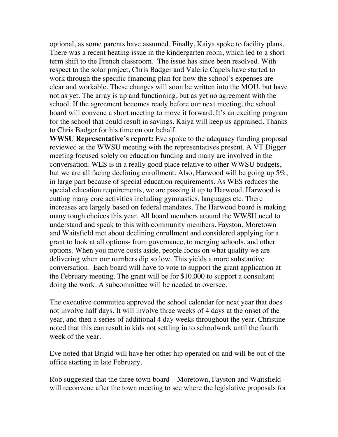optional, as some parents have assumed. Finally, Kaiya spoke to facility plans. There was a recent heating issue in the kindergarten room, which led to a short term shift to the French classroom. The issue has since been resolved. With respect to the solar project, Chris Badger and Valerie Capels have started to work through the specific financing plan for how the school's expenses are clear and workable. These changes will soon be written into the MOU, but have not as yet. The array is up and functioning, but as yet no agreement with the school. If the agreement becomes ready before our next meeting, the school board will convene a short meeting to move it forward. It's an exciting program for the school that could result in savings. Kaiya will keep us appraised. Thanks to Chris Badger for his time on our behalf.

**WWSU Representative's report:** Eve spoke to the adequacy funding proposal reviewed at the WWSU meeting with the representatives present. A VT Digger meeting focused solely on education funding and many are involved in the conversation. WES is in a really good place relative to other WWSU budgets, but we are all facing declining enrollment. Also, Harwood will be going up 5%, in large part because of special education requirements. As WES reduces the special education requirements, we are passing it up to Harwood. Harwood is cutting many core activities including gymnastics, languages etc. There increases are largely based on federal mandates. The Harwood board is making many tough choices this year. All board members around the WWSU need to understand and speak to this with community members. Fayston, Moretown and Waitsfield met about declining enrollment and considered applying for a grant to look at all options- from governance, to merging schools, and other options. When you move costs aside, people focus on what quality we are delivering when our numbers dip so low. This yields a more substantive conversation. Each board will have to vote to support the grant application at the February meeting. The grant will be for \$10,000 to support a consultant doing the work. A subcommittee will be needed to oversee.

The executive committee approved the school calendar for next year that does not involve half days. It will involve three weeks of 4 days at the onset of the year, and then a series of additional 4 day weeks throughout the year. Christine noted that this can result in kids not settling in to schoolwork until the fourth week of the year.

Eve noted that Brigid will have her other hip operated on and will be out of the office starting in late February.

Rob suggested that the three town board – Moretown, Fayston and Waitsfield – will reconvene after the town meeting to see where the legislative proposals for